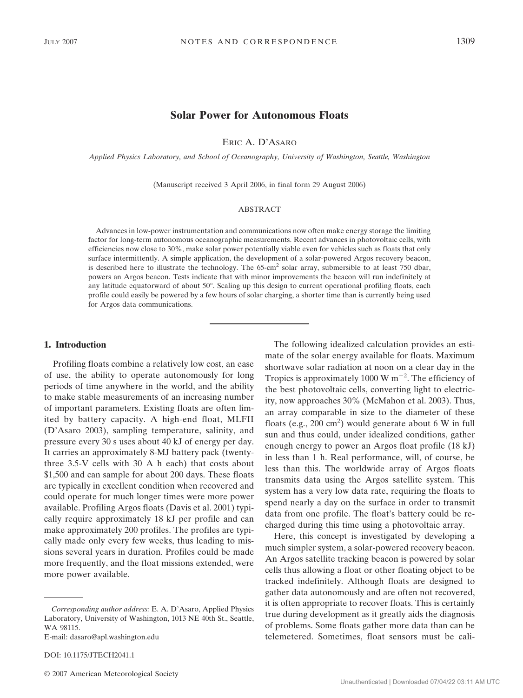# **Solar Power for Autonomous Floats**

ERIC A. D'ASARO

*Applied Physics Laboratory, and School of Oceanography, University of Washington, Seattle, Washington*

(Manuscript received 3 April 2006, in final form 29 August 2006)

#### ABSTRACT

Advances in low-power instrumentation and communications now often make energy storage the limiting factor for long-term autonomous oceanographic measurements. Recent advances in photovoltaic cells, with efficiencies now close to 30%, make solar power potentially viable even for vehicles such as floats that only surface intermittently. A simple application, the development of a solar-powered Argos recovery beacon, is described here to illustrate the technology. The 65-cm<sup>2</sup> solar array, submersible to at least 750 dbar, powers an Argos beacon. Tests indicate that with minor improvements the beacon will run indefinitely at any latitude equatorward of about 50°. Scaling up this design to current operational profiling floats, each profile could easily be powered by a few hours of solar charging, a shorter time than is currently being used for Argos data communications.

### **1. Introduction**

Profiling floats combine a relatively low cost, an ease of use, the ability to operate autonomously for long periods of time anywhere in the world, and the ability to make stable measurements of an increasing number of important parameters. Existing floats are often limited by battery capacity. A high-end float, MLFII (D'Asaro 2003), sampling temperature, salinity, and pressure every 30 s uses about 40 kJ of energy per day. It carries an approximately 8-MJ battery pack (twentythree 3.5-V cells with 30 A h each) that costs about \$1,500 and can sample for about 200 days. These floats are typically in excellent condition when recovered and could operate for much longer times were more power available. Profiling Argos floats (Davis et al. 2001) typically require approximately 18 kJ per profile and can make approximately 200 profiles. The profiles are typically made only every few weeks, thus leading to missions several years in duration. Profiles could be made more frequently, and the float missions extended, were more power available.

DOI: 10.1175/JTECH2041.1

© 2007 American Meteorological Society

The following idealized calculation provides an estimate of the solar energy available for floats. Maximum shortwave solar radiation at noon on a clear day in the Tropics is approximately 1000 W  $m^{-2}$ . The efficiency of the best photovoltaic cells, converting light to electricity, now approaches 30% (McMahon et al. 2003). Thus, an array comparable in size to the diameter of these floats (e.g.,  $200 \text{ cm}^2$ ) would generate about 6 W in full sun and thus could, under idealized conditions, gather enough energy to power an Argos float profile (18 kJ) in less than 1 h. Real performance, will, of course, be less than this. The worldwide array of Argos floats transmits data using the Argos satellite system. This system has a very low data rate, requiring the floats to spend nearly a day on the surface in order to transmit data from one profile. The float's battery could be recharged during this time using a photovoltaic array.

Here, this concept is investigated by developing a much simpler system, a solar-powered recovery beacon. An Argos satellite tracking beacon is powered by solar cells thus allowing a float or other floating object to be tracked indefinitely. Although floats are designed to gather data autonomously and are often not recovered, it is often appropriate to recover floats. This is certainly true during development as it greatly aids the diagnosis of problems. Some floats gather more data than can be telemetered. Sometimes, float sensors must be cali-

*Corresponding author address:* E. A. D'Asaro, Applied Physics Laboratory, University of Washington, 1013 NE 40th St., Seattle, WA 98115.

E-mail: dasaro@apl.washington.edu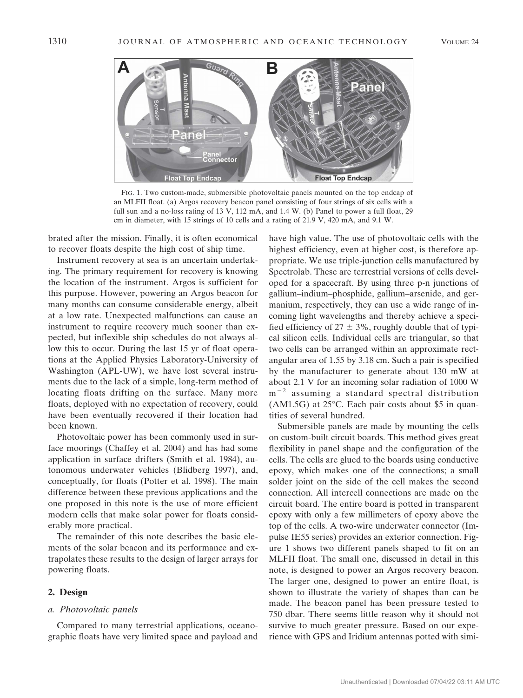

FIG. 1. Two custom-made, submersible photovoltaic panels mounted on the top endcap of an MLFII float. (a) Argos recovery beacon panel consisting of four strings of six cells with a full sun and a no-loss rating of 13 V, 112 mA, and 1.4 W. (b) Panel to power a full float, 29 cm in diameter, with 15 strings of 10 cells and a rating of 21.9 V, 420 mA, and 9.1 W.

brated after the mission. Finally, it is often economical to recover floats despite the high cost of ship time.

Instrument recovery at sea is an uncertain undertaking. The primary requirement for recovery is knowing the location of the instrument. Argos is sufficient for this purpose. However, powering an Argos beacon for many months can consume considerable energy, albeit at a low rate. Unexpected malfunctions can cause an instrument to require recovery much sooner than expected, but inflexible ship schedules do not always allow this to occur. During the last 15 yr of float operations at the Applied Physics Laboratory-University of Washington (APL-UW), we have lost several instruments due to the lack of a simple, long-term method of locating floats drifting on the surface. Many more floats, deployed with no expectation of recovery, could have been eventually recovered if their location had been known.

Photovoltaic power has been commonly used in surface moorings (Chaffey et al. 2004) and has had some application in surface drifters (Smith et al. 1984), autonomous underwater vehicles (Blidberg 1997), and, conceptually, for floats (Potter et al. 1998). The main difference between these previous applications and the one proposed in this note is the use of more efficient modern cells that make solar power for floats considerably more practical.

The remainder of this note describes the basic elements of the solar beacon and its performance and extrapolates these results to the design of larger arrays for powering floats.

## **2. Design**

#### *a. Photovoltaic panels*

Compared to many terrestrial applications, oceanographic floats have very limited space and payload and have high value. The use of photovoltaic cells with the highest efficiency, even at higher cost, is therefore appropriate. We use triple-junction cells manufactured by Spectrolab. These are terrestrial versions of cells developed for a spacecraft. By using three p-n junctions of gallium–indium–phosphide, gallium–arsenide, and germanium, respectively, they can use a wide range of incoming light wavelengths and thereby achieve a specified efficiency of  $27 \pm 3\%$ , roughly double that of typical silicon cells. Individual cells are triangular, so that two cells can be arranged within an approximate rectangular area of 1.55 by 3.18 cm. Such a pair is specified by the manufacturer to generate about 130 mW at about 2.1 V for an incoming solar radiation of 1000 W  $m^{-2}$  assuming a standard spectral distribution (AM1.5G) at 25°C. Each pair costs about \$5 in quantities of several hundred.

Submersible panels are made by mounting the cells on custom-built circuit boards. This method gives great flexibility in panel shape and the configuration of the cells. The cells are glued to the boards using conductive epoxy, which makes one of the connections; a small solder joint on the side of the cell makes the second connection. All intercell connections are made on the circuit board. The entire board is potted in transparent epoxy with only a few millimeters of epoxy above the top of the cells. A two-wire underwater connector (Impulse IE55 series) provides an exterior connection. Figure 1 shows two different panels shaped to fit on an MLFII float. The small one, discussed in detail in this note, is designed to power an Argos recovery beacon. The larger one, designed to power an entire float, is shown to illustrate the variety of shapes than can be made. The beacon panel has been pressure tested to 750 dbar. There seems little reason why it should not survive to much greater pressure. Based on our experience with GPS and Iridium antennas potted with simi-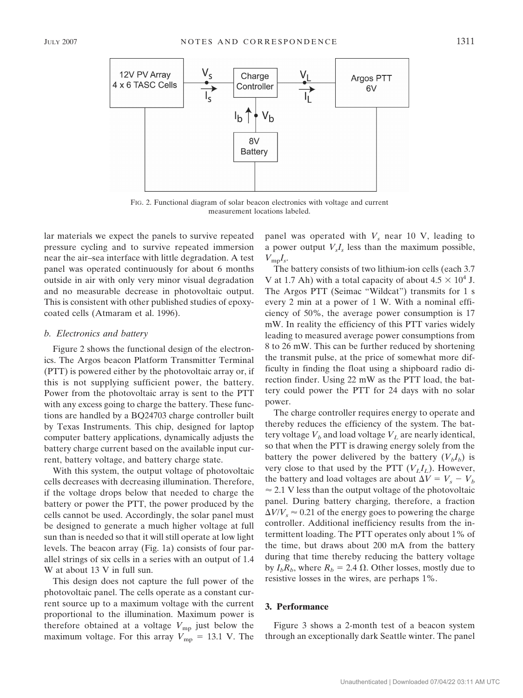

FIG. 2. Functional diagram of solar beacon electronics with voltage and current measurement locations labeled.

lar materials we expect the panels to survive repeated pressure cycling and to survive repeated immersion near the air–sea interface with little degradation. A test panel was operated continuously for about 6 months outside in air with only very minor visual degradation and no measurable decrease in photovoltaic output. This is consistent with other published studies of epoxycoated cells (Atmaram et al. 1996).

#### *b. Electronics and battery*

Figure 2 shows the functional design of the electronics. The Argos beacon Platform Transmitter Terminal (PTT) is powered either by the photovoltaic array or, if this is not supplying sufficient power, the battery. Power from the photovoltaic array is sent to the PTT with any excess going to charge the battery. These functions are handled by a BQ24703 charge controller built by Texas Instruments. This chip, designed for laptop computer battery applications, dynamically adjusts the battery charge current based on the available input current, battery voltage, and battery charge state.

With this system, the output voltage of photovoltaic cells decreases with decreasing illumination. Therefore, if the voltage drops below that needed to charge the battery or power the PTT, the power produced by the cells cannot be used. Accordingly, the solar panel must be designed to generate a much higher voltage at full sun than is needed so that it will still operate at low light levels. The beacon array (Fig. 1a) consists of four parallel strings of six cells in a series with an output of 1.4 W at about 13 V in full sun.

This design does not capture the full power of the photovoltaic panel. The cells operate as a constant current source up to a maximum voltage with the current proportional to the illumination. Maximum power is therefore obtained at a voltage  $V_{mp}$  just below the maximum voltage. For this array  $V_{mp} = 13.1$  V. The

panel was operated with  $V<sub>s</sub>$  near 10 V, leading to a power output  $V_sI_s$  less than the maximum possible,  $V_{\text{mp}}I_s$ .

The battery consists of two lithium-ion cells (each 3.7 V at 1.7 Ah) with a total capacity of about  $4.5 \times 10^4$  J. The Argos PTT (Seimac "Wildcat") transmits for 1 s every 2 min at a power of 1 W. With a nominal efficiency of 50%, the average power consumption is 17 mW. In reality the efficiency of this PTT varies widely leading to measured average power consumptions from 8 to 26 mW. This can be further reduced by shortening the transmit pulse, at the price of somewhat more difficulty in finding the float using a shipboard radio direction finder. Using 22 mW as the PTT load, the battery could power the PTT for 24 days with no solar power.

The charge controller requires energy to operate and thereby reduces the efficiency of the system. The battery voltage  $V_b$  and load voltage  $V_L$  are nearly identical, so that when the PTT is drawing energy solely from the battery the power delivered by the battery  $(V_h I_h)$  is very close to that used by the PTT  $(V<sub>L</sub>I<sub>L</sub>)$ . However, the battery and load voltages are about  $\Delta V = V_s - V_b$  $\approx$  2.1 V less than the output voltage of the photovoltaic panel. During battery charging, therefore, a fraction  $\Delta V/V_s \approx 0.21$  of the energy goes to powering the charge controller. Additional inefficiency results from the intermittent loading. The PTT operates only about 1% of the time, but draws about 200 mA from the battery during that time thereby reducing the battery voltage by  $I_bR_b$ , where  $R_b = 2.4 \Omega$ . Other losses, mostly due to resistive losses in the wires, are perhaps 1%.

### **3. Performance**

Figure 3 shows a 2-month test of a beacon system through an exceptionally dark Seattle winter. The panel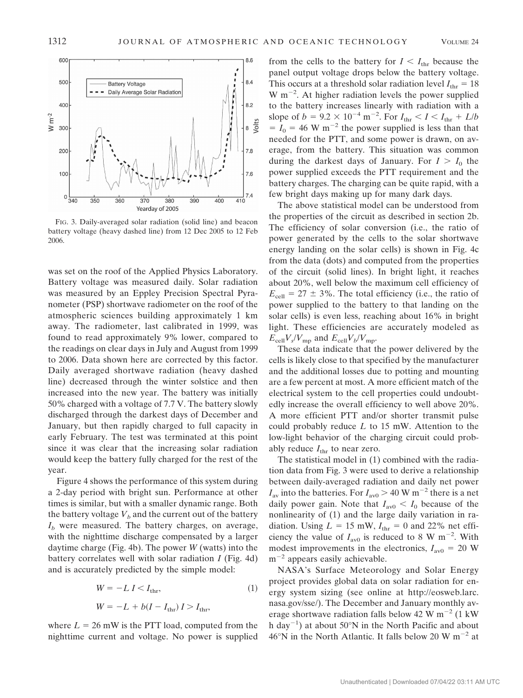

FIG. 3. Daily-averaged solar radiation (solid line) and beacon battery voltage (heavy dashed line) from 12 Dec 2005 to 12 Feb 2006.

was set on the roof of the Applied Physics Laboratory. Battery voltage was measured daily. Solar radiation was measured by an Eppley Precision Spectral Pyranometer (PSP) shortwave radiometer on the roof of the atmospheric sciences building approximately 1 km away. The radiometer, last calibrated in 1999, was found to read approximately 9% lower, compared to the readings on clear days in July and August from 1999 to 2006. Data shown here are corrected by this factor. Daily averaged shortwave radiation (heavy dashed line) decreased through the winter solstice and then increased into the new year. The battery was initially 50% charged with a voltage of 7.7 V. The battery slowly discharged through the darkest days of December and January, but then rapidly charged to full capacity in early February. The test was terminated at this point since it was clear that the increasing solar radiation would keep the battery fully charged for the rest of the year.

Figure 4 shows the performance of this system during a 2-day period with bright sun. Performance at other times is similar, but with a smaller dynamic range. Both the battery voltage  $V_b$  and the current out of the battery  $I<sub>b</sub>$  were measured. The battery charges, on average, with the nighttime discharge compensated by a larger daytime charge (Fig. 4b). The power *W* (watts) into the battery correlates well with solar radiation *I* (Fig. 4d) and is accurately predicted by the simple model:

$$
W = -L I < I_{\text{thr}},\tag{1}
$$
\n
$$
W = -L + b(I - I_{\text{thr}}) I > I_{\text{thr}},
$$

where  $L = 26$  mW is the PTT load, computed from the nighttime current and voltage. No power is supplied from the cells to the battery for  $I < I_{\text{thr}}$  because the panel output voltage drops below the battery voltage. This occurs at a threshold solar radiation level  $I_{\text{thr}} = 18$  $W$  m<sup>-2</sup>. At higher radiation levels the power supplied to the battery increases linearly with radiation with a slope of  $b = 9.2 \times 10^{-4} \text{ m}^{-2}$ . For  $I_{\text{thr}} < I < I_{\text{thr}} + L/b$  $I_0 = I_0 = 46$  W m<sup>-2</sup> the power supplied is less than that needed for the PTT, and some power is drawn, on average, from the battery. This situation was common during the darkest days of January. For  $I > I_0$  the power supplied exceeds the PTT requirement and the battery charges. The charging can be quite rapid, with a few bright days making up for many dark days.

The above statistical model can be understood from the properties of the circuit as described in section 2b. The efficiency of solar conversion (i.e., the ratio of power generated by the cells to the solar shortwave energy landing on the solar cells) is shown in Fig. 4c from the data (dots) and computed from the properties of the circuit (solid lines). In bright light, it reaches about 20%, well below the maximum cell efficiency of  $E_{cell} = 27 \pm 3\%$ . The total efficiency (i.e., the ratio of power supplied to the battery to that landing on the solar cells) is even less, reaching about 16% in bright light. These efficiencies are accurately modeled as  $E_{cell}V_s/V_{mp}$  and  $E_{cell}V_b/V_{mp}$ .

These data indicate that the power delivered by the cells is likely close to that specified by the manufacturer and the additional losses due to potting and mounting are a few percent at most. A more efficient match of the electrical system to the cell properties could undoubtedly increase the overall efficiency to well above 20%. A more efficient PTT and/or shorter transmit pulse could probably reduce *L* to 15 mW. Attention to the low-light behavior of the charging circuit could probably reduce  $I_{\text{thr}}$  to near zero.

The statistical model in (1) combined with the radiation data from Fig. 3 were used to derive a relationship between daily-averaged radiation and daily net power  $I_{\text{av}}$  into the batteries. For  $I_{\text{av}0}$  > 40 W m<sup>-2</sup> there is a net daily power gain. Note that  $I_{\text{av}0} < I_0$  because of the nonlinearity of (1) and the large daily variation in radiation. Using  $L = 15$  mW,  $I_{\text{thr}} = 0$  and 22% net efficiency the value of  $I_{\text{av}0}$  is reduced to 8 W m<sup>-2</sup>. With modest improvements in the electronics,  $I_{\text{av0}} = 20$  W  $m^{-2}$  appears easily achievable.

NASA's Surface Meteorology and Solar Energy project provides global data on solar radiation for energy system sizing (see online at http://eosweb.larc. nasa.gov/sse/). The December and January monthly average shortwave radiation falls below 42 W  $\text{m}^{-2}$  (1 kW) h day<sup>-1</sup>) at about 50°N in the North Pacific and about  $46^{\circ}$ N in the North Atlantic. It falls below 20 W m<sup>-2</sup> at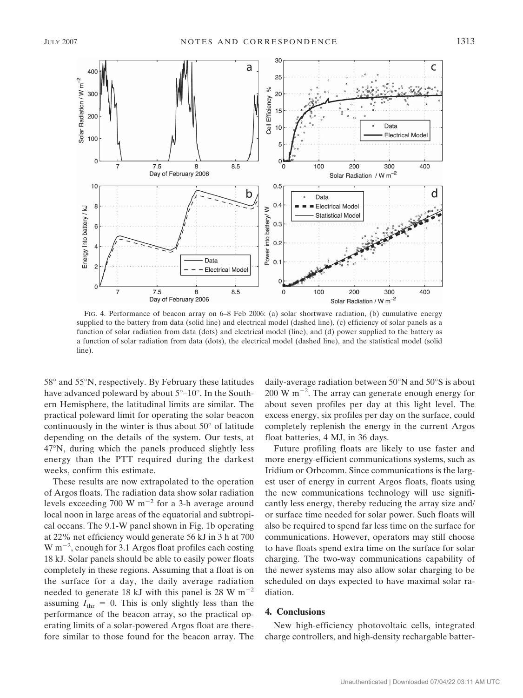

FIG. 4. Performance of beacon array on 6–8 Feb 2006: (a) solar shortwave radiation, (b) cumulative energy supplied to the battery from data (solid line) and electrical model (dashed line), (c) efficiency of solar panels as a function of solar radiation from data (dots) and electrical model (line), and (d) power supplied to the battery as a function of solar radiation from data (dots), the electrical model (dashed line), and the statistical model (solid line).

58° and 55°N, respectively. By February these latitudes have advanced poleward by about 5°–10°. In the Southern Hemisphere, the latitudinal limits are similar. The practical poleward limit for operating the solar beacon continuously in the winter is thus about 50° of latitude depending on the details of the system. Our tests, at 47°N, during which the panels produced slightly less energy than the PTT required during the darkest weeks, confirm this estimate.

These results are now extrapolated to the operation of Argos floats. The radiation data show solar radiation levels exceeding 700 W  $m^{-2}$  for a 3-h average around local noon in large areas of the equatorial and subtropical oceans. The 9.1-W panel shown in Fig. 1b operating at 22% net efficiency would generate 56 kJ in 3 h at 700  $W$  m<sup>-2</sup>, enough for 3.1 Argos float profiles each costing 18 kJ. Solar panels should be able to easily power floats completely in these regions. Assuming that a float is on the surface for a day, the daily average radiation needed to generate 18 kJ with this panel is 28 W  $m^{-2}$ assuming  $I_{\text{thr}} = 0$ . This is only slightly less than the performance of the beacon array, so the practical operating limits of a solar-powered Argos float are therefore similar to those found for the beacon array. The

daily-average radiation between 50°N and 50°S is about  $200 \text{ W m}^{-2}$ . The array can generate enough energy for about seven profiles per day at this light level. The excess energy, six profiles per day on the surface, could completely replenish the energy in the current Argos float batteries, 4 MJ, in 36 days.

Future profiling floats are likely to use faster and more energy-efficient communications systems, such as Iridium or Orbcomm. Since communications is the largest user of energy in current Argos floats, floats using the new communications technology will use significantly less energy, thereby reducing the array size and/ or surface time needed for solar power. Such floats will also be required to spend far less time on the surface for communications. However, operators may still choose to have floats spend extra time on the surface for solar charging. The two-way communications capability of the newer systems may also allow solar charging to be scheduled on days expected to have maximal solar radiation.

## **4. Conclusions**

New high-efficiency photovoltaic cells, integrated charge controllers, and high-density rechargable batter-